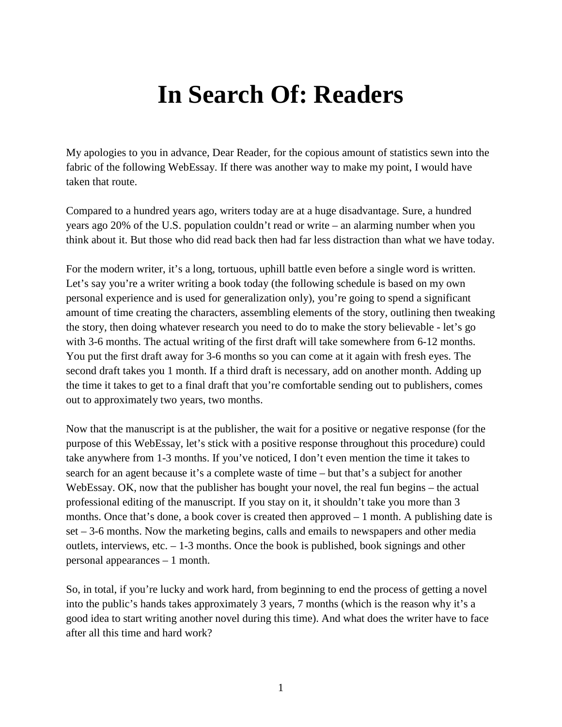## **In Search Of: Readers**

My apologies to you in advance, Dear Reader, for the copious amount of statistics sewn into the fabric of the following WebEssay. If there was another way to make my point, I would have taken that route.

Compared to a hundred years ago, writers today are at a huge disadvantage. Sure, a hundred years ago 20% of the U.S. population couldn't read or write – an alarming number when you think about it. But those who did read back then had far less distraction than what we have today.

For the modern writer, it's a long, tortuous, uphill battle even before a single word is written. Let's say you're a writer writing a book today (the following schedule is based on my own personal experience and is used for generalization only), you're going to spend a significant amount of time creating the characters, assembling elements of the story, outlining then tweaking the story, then doing whatever research you need to do to make the story believable - let's go with 3-6 months. The actual writing of the first draft will take somewhere from 6-12 months. You put the first draft away for 3-6 months so you can come at it again with fresh eyes. The second draft takes you 1 month. If a third draft is necessary, add on another month. Adding up the time it takes to get to a final draft that you're comfortable sending out to publishers, comes out to approximately two years, two months.

Now that the manuscript is at the publisher, the wait for a positive or negative response (for the purpose of this WebEssay, let's stick with a positive response throughout this procedure) could take anywhere from 1-3 months. If you've noticed, I don't even mention the time it takes to search for an agent because it's a complete waste of time – but that's a subject for another WebEssay. OK, now that the publisher has bought your novel, the real fun begins – the actual professional editing of the manuscript. If you stay on it, it shouldn't take you more than 3 months. Once that's done, a book cover is created then approved – 1 month. A publishing date is set – 3-6 months. Now the marketing begins, calls and emails to newspapers and other media outlets, interviews, etc. – 1-3 months. Once the book is published, book signings and other personal appearances – 1 month.

So, in total, if you're lucky and work hard, from beginning to end the process of getting a novel into the public's hands takes approximately 3 years, 7 months (which is the reason why it's a good idea to start writing another novel during this time). And what does the writer have to face after all this time and hard work?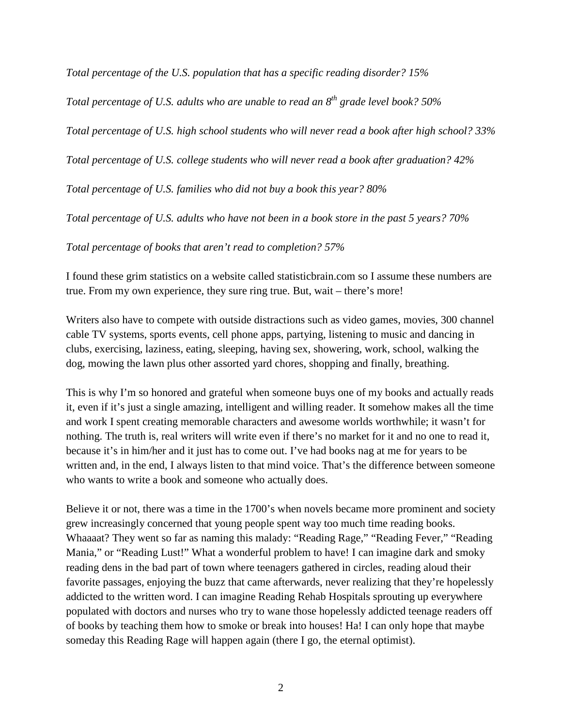*Total percentage of the U.S. population that has a specific reading disorder? 15%*

*Total percentage of U.S. adults who are unable to read an 8th grade level book? 50%*

*Total percentage of U.S. high school students who will never read a book after high school? 33%*

*Total percentage of U.S. college students who will never read a book after graduation? 42%*

*Total percentage of U.S. families who did not buy a book this year? 80%*

*Total percentage of U.S. adults who have not been in a book store in the past 5 years? 70%*

*Total percentage of books that aren't read to completion? 57%*

I found these grim statistics on a website called statisticbrain.com so I assume these numbers are true. From my own experience, they sure ring true. But, wait – there's more!

Writers also have to compete with outside distractions such as video games, movies, 300 channel cable TV systems, sports events, cell phone apps, partying, listening to music and dancing in clubs, exercising, laziness, eating, sleeping, having sex, showering, work, school, walking the dog, mowing the lawn plus other assorted yard chores, shopping and finally, breathing.

This is why I'm so honored and grateful when someone buys one of my books and actually reads it, even if it's just a single amazing, intelligent and willing reader. It somehow makes all the time and work I spent creating memorable characters and awesome worlds worthwhile; it wasn't for nothing. The truth is, real writers will write even if there's no market for it and no one to read it, because it's in him/her and it just has to come out. I've had books nag at me for years to be written and, in the end, I always listen to that mind voice. That's the difference between someone who wants to write a book and someone who actually does.

Believe it or not, there was a time in the 1700's when novels became more prominent and society grew increasingly concerned that young people spent way too much time reading books. Whaaaat? They went so far as naming this malady: "Reading Rage," "Reading Fever," "Reading Mania," or "Reading Lust!" What a wonderful problem to have! I can imagine dark and smoky reading dens in the bad part of town where teenagers gathered in circles, reading aloud their favorite passages, enjoying the buzz that came afterwards, never realizing that they're hopelessly addicted to the written word. I can imagine Reading Rehab Hospitals sprouting up everywhere populated with doctors and nurses who try to wane those hopelessly addicted teenage readers off of books by teaching them how to smoke or break into houses! Ha! I can only hope that maybe someday this Reading Rage will happen again (there I go, the eternal optimist).